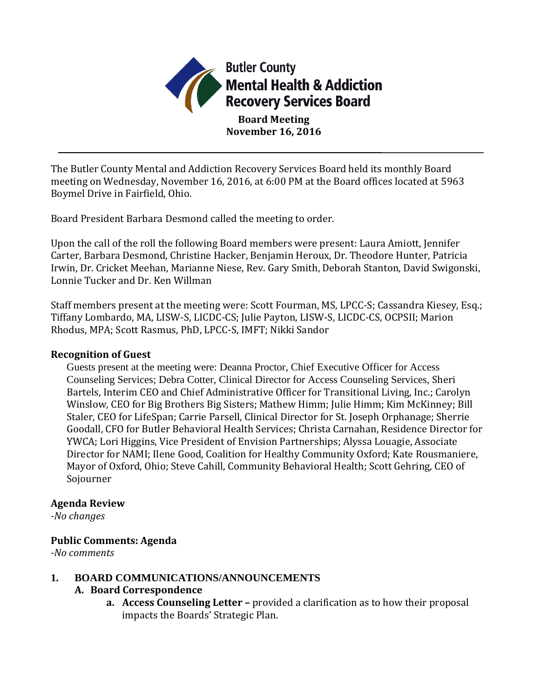

The Butler County Mental and Addiction Recovery Services Board held its monthly Board meeting on Wednesday, November 16, 2016, at 6:00 PM at the Board offices located at 5963 Boymel Drive in Fairfield, Ohio.

Board President Barbara Desmond called the meeting to order.

Upon the call of the roll the following Board members were present: Laura Amiott, Jennifer Carter, Barbara Desmond, Christine Hacker, Benjamin Heroux, Dr. Theodore Hunter, Patricia Irwin, Dr. Cricket Meehan, Marianne Niese, Rev. Gary Smith, Deborah Stanton, David Swigonski, Lonnie Tucker and Dr. Ken Willman

Staff members present at the meeting were: Scott Fourman, MS, LPCC-S; Cassandra Kiesey, Esq.; Tiffany Lombardo, MA, LISW-S, LICDC-CS; Julie Payton, LISW-S, LICDC-CS, OCPSII; Marion Rhodus, MPA; Scott Rasmus, PhD, LPCC-S, IMFT; Nikki Sandor

## **Recognition of Guest**

Guests present at the meeting were: Deanna Proctor, Chief Executive Officer for Access Counseling Services; Debra Cotter, Clinical Director for Access Counseling Services, Sheri Bartels, Interim CEO and Chief Administrative Officer for Transitional Living, Inc.; Carolyn Winslow, CEO for Big Brothers Big Sisters; Mathew Himm; Julie Himm; Kim McKinney; Bill Staler, CEO for LifeSpan; Carrie Parsell, Clinical Director for St. Joseph Orphanage; Sherrie Goodall, CFO for Butler Behavioral Health Services; Christa Carnahan, Residence Director for YWCA; Lori Higgins, Vice President of Envision Partnerships; Alyssa Louagie, Associate Director for NAMI; Ilene Good, Coalition for Healthy Community Oxford; Kate Rousmaniere, Mayor of Oxford, Ohio; Steve Cahill, Community Behavioral Health; Scott Gehring, CEO of Sojourner

## **Agenda Review**

*-No changes*

## **Public Comments: Agenda**

*-No comments*

**1. BOARD COMMUNICATIONS/ANNOUNCEMENTS**

## **A. Board Correspondence**

**a. Access Counseling Letter –** provided a clarification as to how their proposal impacts the Boards' Strategic Plan.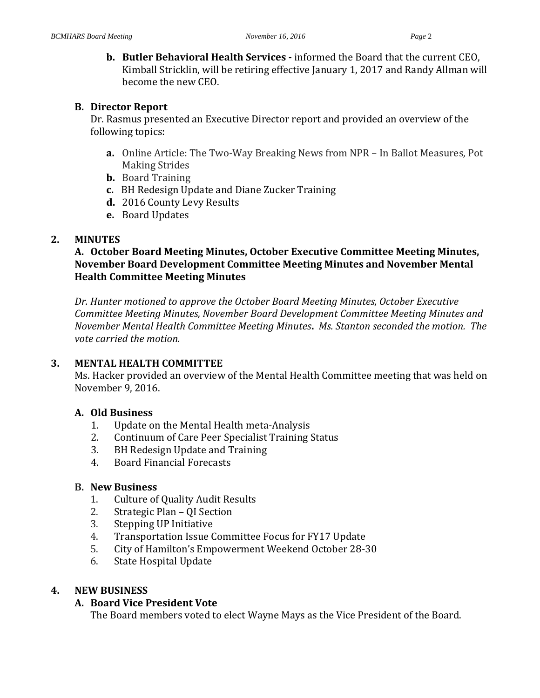**b. Butler Behavioral Health Services -** informed the Board that the current CEO, Kimball Stricklin, will be retiring effective January 1, 2017 and Randy Allman will become the new CEO.

#### **B. Director Report**

Dr. Rasmus presented an Executive Director report and provided an overview of the following topics:

- **a.** Online Article: The Two-Way Breaking News from NPR In Ballot Measures, Pot Making Strides
- **b.** Board Training
- **c.** BH Redesign Update and Diane Zucker Training
- **d.** 2016 County Levy Results
- **e.** Board Updates

## **2. MINUTES**

# **A. October Board Meeting Minutes, October Executive Committee Meeting Minutes, November Board Development Committee Meeting Minutes and November Mental Health Committee Meeting Minutes**

*Dr. Hunter motioned to approve the October Board Meeting Minutes, October Executive Committee Meeting Minutes, November Board Development Committee Meeting Minutes and November Mental Health Committee Meeting Minutes***.** *Ms. Stanton seconded the motion. The vote carried the motion.*

## **3. MENTAL HEALTH COMMITTEE**

Ms. Hacker provided an overview of the Mental Health Committee meeting that was held on November 9, 2016.

## **A. Old Business**

- 1. Update on the Mental Health meta-Analysis
- 2. Continuum of Care Peer Specialist Training Status
- 3. BH Redesign Update and Training
- 4. Board Financial Forecasts

## **B. New Business**

- 1. Culture of Quality Audit Results
- 2. Strategic Plan QI Section
- 3. Stepping UP Initiative
- 4. Transportation Issue Committee Focus for FY17 Update
- 5. City of Hamilton's Empowerment Weekend October 28-30
- 6. State Hospital Update

## **4. NEW BUSINESS**

# **A. Board Vice President Vote**

The Board members voted to elect Wayne Mays as the Vice President of the Board.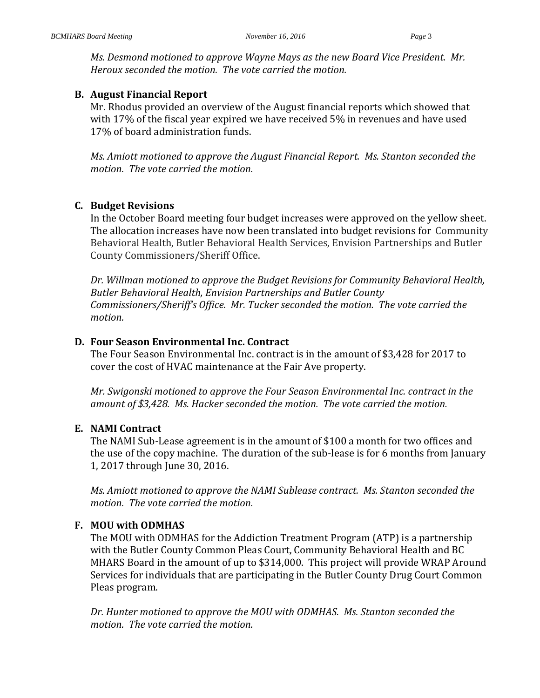*Ms. Desmond motioned to approve Wayne Mays as the new Board Vice President. Mr. Heroux seconded the motion. The vote carried the motion.*

#### **B. August Financial Report**

Mr. Rhodus provided an overview of the August financial reports which showed that with 17% of the fiscal year expired we have received 5% in revenues and have used 17% of board administration funds.

*Ms. Amiott motioned to approve the August Financial Report. Ms. Stanton seconded the motion. The vote carried the motion.*

#### **C. Budget Revisions**

In the October Board meeting four budget increases were approved on the yellow sheet. The allocation increases have now been translated into budget revisions for Community Behavioral Health, Butler Behavioral Health Services, Envision Partnerships and Butler County Commissioners/Sheriff Office.

*Dr. Willman motioned to approve the Budget Revisions for Community Behavioral Health, Butler Behavioral Health, Envision Partnerships and Butler County Commissioners/Sheriff's Office. Mr. Tucker seconded the motion. The vote carried the motion.*

#### **D. Four Season Environmental Inc. Contract**

The Four Season Environmental Inc. contract is in the amount of \$3,428 for 2017 to cover the cost of HVAC maintenance at the Fair Ave property.

*Mr. Swigonski motioned to approve the Four Season Environmental Inc. contract in the amount of \$3,428. Ms. Hacker seconded the motion. The vote carried the motion.*

## **E. NAMI Contract**

The NAMI Sub-Lease agreement is in the amount of \$100 a month for two offices and the use of the copy machine. The duration of the sub-lease is for 6 months from January 1, 2017 through June 30, 2016.

*Ms. Amiott motioned to approve the NAMI Sublease contract. Ms. Stanton seconded the motion. The vote carried the motion.*

## **F. MOU with ODMHAS**

The MOU with ODMHAS for the Addiction Treatment Program (ATP) is a partnership with the Butler County Common Pleas Court, Community Behavioral Health and BC MHARS Board in the amount of up to \$314,000. This project will provide WRAP Around Services for individuals that are participating in the Butler County Drug Court Common Pleas program.

*Dr. Hunter motioned to approve the MOU with ODMHAS. Ms. Stanton seconded the motion. The vote carried the motion.*